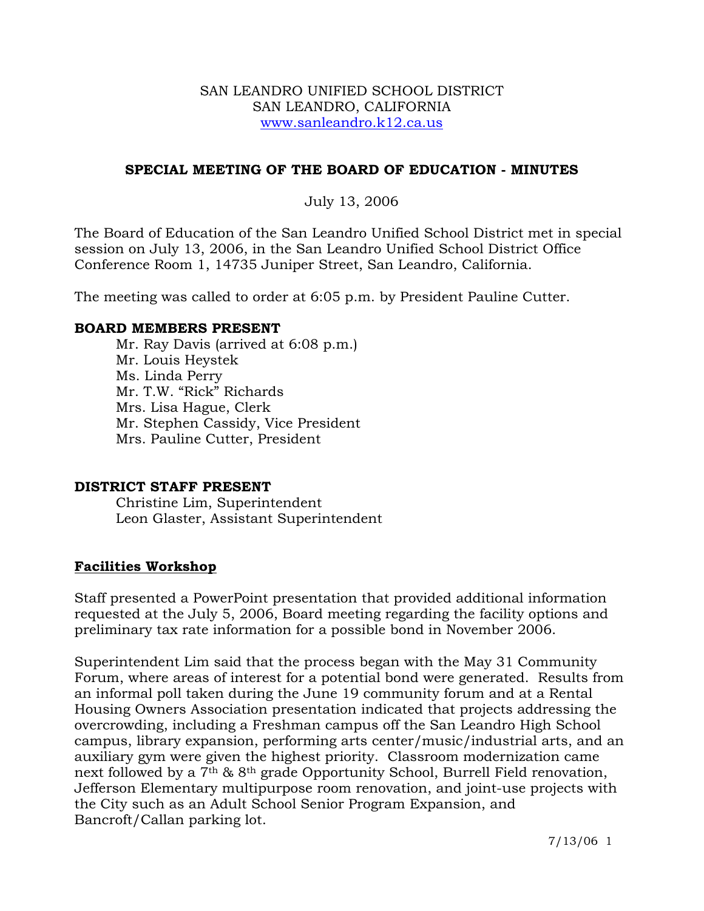#### SAN LEANDRO UNIFIED SCHOOL DISTRICT SAN LEANDRO, CALIFORNIA www.sanleandro.k12.ca.us

## **SPECIAL MEETING OF THE BOARD OF EDUCATION - MINUTES**

# July 13, 2006

The Board of Education of the San Leandro Unified School District met in special session on July 13, 2006, in the San Leandro Unified School District Office Conference Room 1, 14735 Juniper Street, San Leandro, California.

The meeting was called to order at 6:05 p.m. by President Pauline Cutter.

#### **BOARD MEMBERS PRESENT**

Mr. Ray Davis (arrived at 6:08 p.m.) Mr. Louis Heystek Ms. Linda Perry Mr. T.W. "Rick" Richards Mrs. Lisa Hague, Clerk Mr. Stephen Cassidy, Vice President Mrs. Pauline Cutter, President

## **DISTRICT STAFF PRESENT**

Christine Lim, Superintendent Leon Glaster, Assistant Superintendent

## **Facilities Workshop**

Staff presented a PowerPoint presentation that provided additional information requested at the July 5, 2006, Board meeting regarding the facility options and preliminary tax rate information for a possible bond in November 2006.

Superintendent Lim said that the process began with the May 31 Community Forum, where areas of interest for a potential bond were generated. Results from an informal poll taken during the June 19 community forum and at a Rental Housing Owners Association presentation indicated that projects addressing the overcrowding, including a Freshman campus off the San Leandro High School campus, library expansion, performing arts center/music/industrial arts, and an auxiliary gym were given the highest priority. Classroom modernization came next followed by a 7th & 8th grade Opportunity School, Burrell Field renovation, Jefferson Elementary multipurpose room renovation, and joint-use projects with the City such as an Adult School Senior Program Expansion, and Bancroft/Callan parking lot.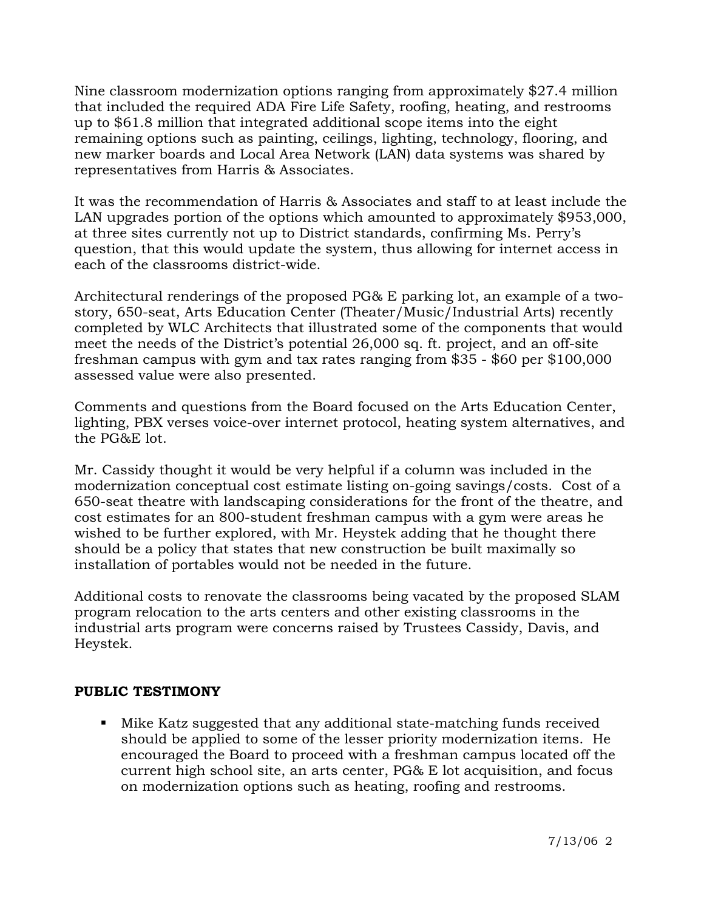Nine classroom modernization options ranging from approximately \$27.4 million that included the required ADA Fire Life Safety, roofing, heating, and restrooms up to \$61.8 million that integrated additional scope items into the eight remaining options such as painting, ceilings, lighting, technology, flooring, and new marker boards and Local Area Network (LAN) data systems was shared by representatives from Harris & Associates.

It was the recommendation of Harris & Associates and staff to at least include the LAN upgrades portion of the options which amounted to approximately \$953,000, at three sites currently not up to District standards, confirming Ms. Perry's question, that this would update the system, thus allowing for internet access in each of the classrooms district-wide.

Architectural renderings of the proposed PG& E parking lot, an example of a twostory, 650-seat, Arts Education Center (Theater/Music/Industrial Arts) recently completed by WLC Architects that illustrated some of the components that would meet the needs of the District's potential 26,000 sq. ft. project, and an off-site freshman campus with gym and tax rates ranging from \$35 - \$60 per \$100,000 assessed value were also presented.

Comments and questions from the Board focused on the Arts Education Center, lighting, PBX verses voice-over internet protocol, heating system alternatives, and the PG&E lot.

Mr. Cassidy thought it would be very helpful if a column was included in the modernization conceptual cost estimate listing on-going savings/costs. Cost of a 650-seat theatre with landscaping considerations for the front of the theatre, and cost estimates for an 800-student freshman campus with a gym were areas he wished to be further explored, with Mr. Heystek adding that he thought there should be a policy that states that new construction be built maximally so installation of portables would not be needed in the future.

Additional costs to renovate the classrooms being vacated by the proposed SLAM program relocation to the arts centers and other existing classrooms in the industrial arts program were concerns raised by Trustees Cassidy, Davis, and Heystek.

## **PUBLIC TESTIMONY**

 Mike Katz suggested that any additional state-matching funds received should be applied to some of the lesser priority modernization items. He encouraged the Board to proceed with a freshman campus located off the current high school site, an arts center, PG& E lot acquisition, and focus on modernization options such as heating, roofing and restrooms.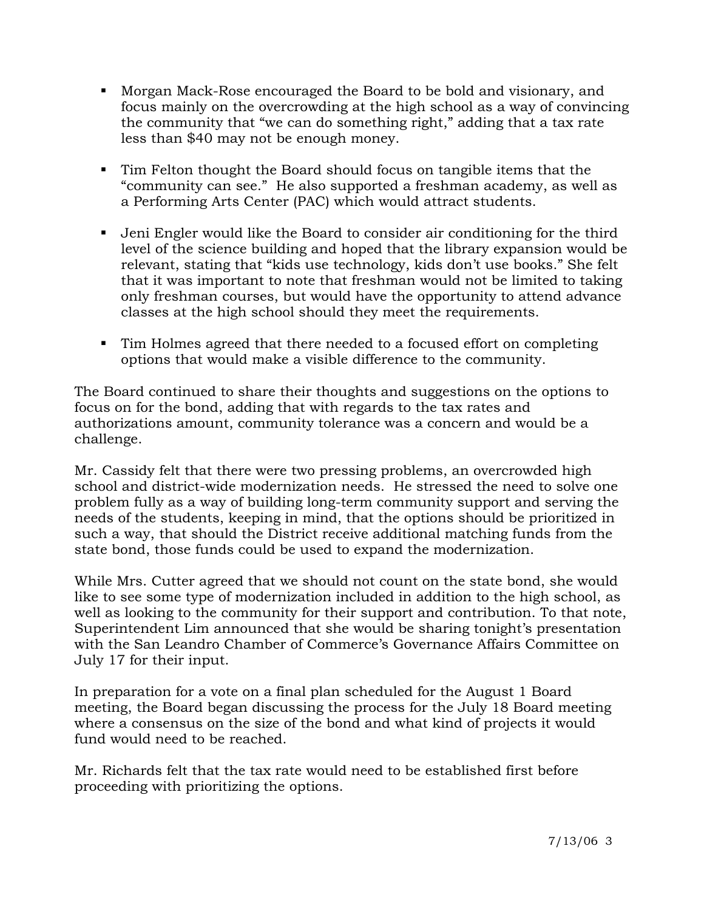- Morgan Mack-Rose encouraged the Board to be bold and visionary, and focus mainly on the overcrowding at the high school as a way of convincing the community that "we can do something right," adding that a tax rate less than \$40 may not be enough money.
- Tim Felton thought the Board should focus on tangible items that the "community can see." He also supported a freshman academy, as well as a Performing Arts Center (PAC) which would attract students.
- Jeni Engler would like the Board to consider air conditioning for the third level of the science building and hoped that the library expansion would be relevant, stating that "kids use technology, kids don't use books." She felt that it was important to note that freshman would not be limited to taking only freshman courses, but would have the opportunity to attend advance classes at the high school should they meet the requirements.
- Tim Holmes agreed that there needed to a focused effort on completing options that would make a visible difference to the community.

The Board continued to share their thoughts and suggestions on the options to focus on for the bond, adding that with regards to the tax rates and authorizations amount, community tolerance was a concern and would be a challenge.

Mr. Cassidy felt that there were two pressing problems, an overcrowded high school and district-wide modernization needs. He stressed the need to solve one problem fully as a way of building long-term community support and serving the needs of the students, keeping in mind, that the options should be prioritized in such a way, that should the District receive additional matching funds from the state bond, those funds could be used to expand the modernization.

While Mrs. Cutter agreed that we should not count on the state bond, she would like to see some type of modernization included in addition to the high school, as well as looking to the community for their support and contribution. To that note, Superintendent Lim announced that she would be sharing tonight's presentation with the San Leandro Chamber of Commerce's Governance Affairs Committee on July 17 for their input.

In preparation for a vote on a final plan scheduled for the August 1 Board meeting, the Board began discussing the process for the July 18 Board meeting where a consensus on the size of the bond and what kind of projects it would fund would need to be reached.

Mr. Richards felt that the tax rate would need to be established first before proceeding with prioritizing the options.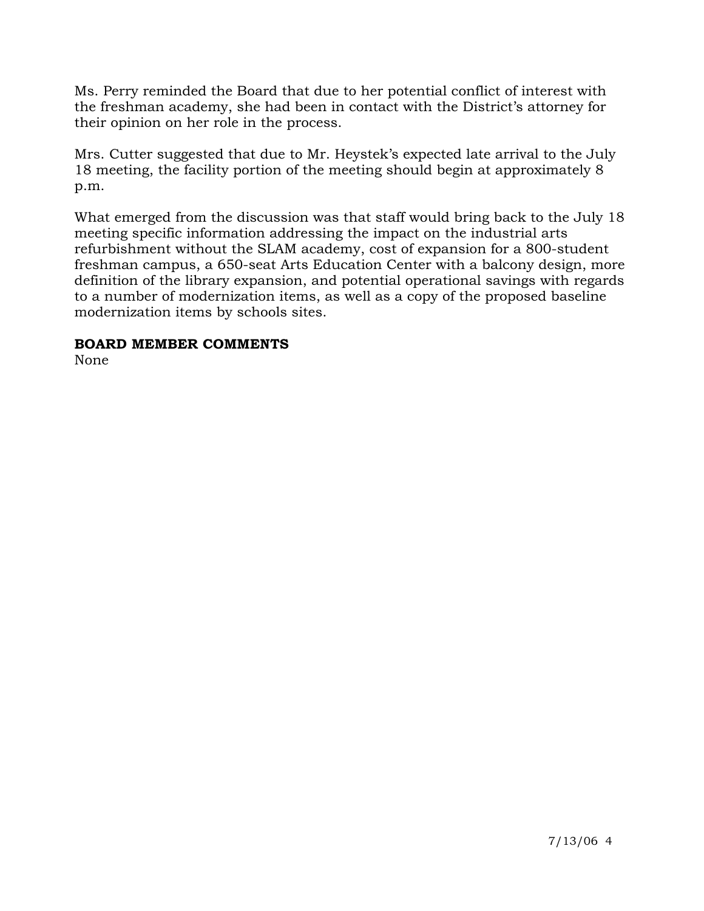Ms. Perry reminded the Board that due to her potential conflict of interest with the freshman academy, she had been in contact with the District's attorney for their opinion on her role in the process.

Mrs. Cutter suggested that due to Mr. Heystek's expected late arrival to the July 18 meeting, the facility portion of the meeting should begin at approximately 8 p.m.

What emerged from the discussion was that staff would bring back to the July 18 meeting specific information addressing the impact on the industrial arts refurbishment without the SLAM academy, cost of expansion for a 800-student freshman campus, a 650-seat Arts Education Center with a balcony design, more definition of the library expansion, and potential operational savings with regards to a number of modernization items, as well as a copy of the proposed baseline modernization items by schools sites.

## **BOARD MEMBER COMMENTS**

None